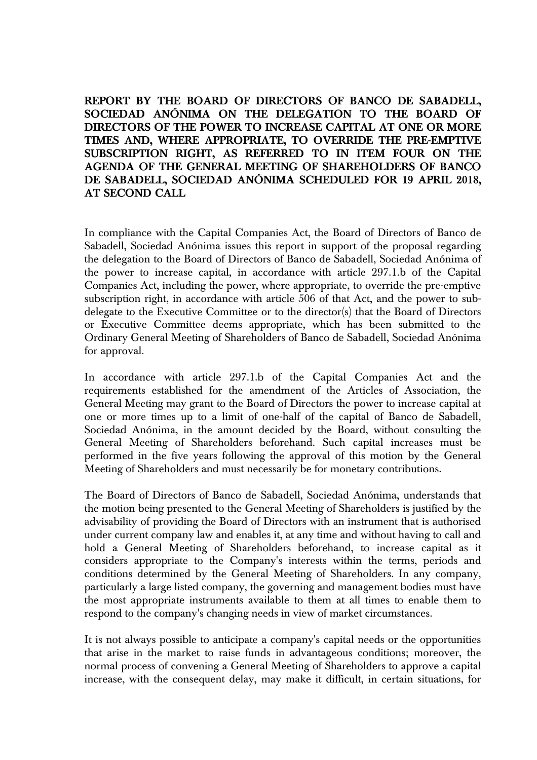**REPORT BY THE BOARD OF DIRECTORS OF BANCO DE SABADELL, SOCIEDAD ANÓNIMA ON THE DELEGATION TO THE BOARD OF DIRECTORS OF THE POWER TO INCREASE CAPITAL AT ONE OR MORE TIMES AND, WHERE APPROPRIATE, TO OVERRIDE THE PRE-EMPTIVE SUBSCRIPTION RIGHT, AS REFERRED TO IN ITEM FOUR ON THE AGENDA OF THE GENERAL MEETING OF SHAREHOLDERS OF BANCO DE SABADELL, SOCIEDAD ANÓNIMA SCHEDULED FOR 19 APRIL 2018, AT SECOND CALL** 

In compliance with the Capital Companies Act, the Board of Directors of Banco de Sabadell, Sociedad Anónima issues this report in support of the proposal regarding the delegation to the Board of Directors of Banco de Sabadell, Sociedad Anónima of the power to increase capital, in accordance with article 297.1.b of the Capital Companies Act, including the power, where appropriate, to override the pre-emptive subscription right, in accordance with article 506 of that Act, and the power to subdelegate to the Executive Committee or to the director(s) that the Board of Directors or Executive Committee deems appropriate, which has been submitted to the Ordinary General Meeting of Shareholders of Banco de Sabadell, Sociedad Anónima for approval.

In accordance with article 297.1.b of the Capital Companies Act and the requirements established for the amendment of the Articles of Association, the General Meeting may grant to the Board of Directors the power to increase capital at one or more times up to a limit of one-half of the capital of Banco de Sabadell, Sociedad Anónima, in the amount decided by the Board, without consulting the General Meeting of Shareholders beforehand. Such capital increases must be performed in the five years following the approval of this motion by the General Meeting of Shareholders and must necessarily be for monetary contributions.

The Board of Directors of Banco de Sabadell, Sociedad Anónima, understands that the motion being presented to the General Meeting of Shareholders is justified by the advisability of providing the Board of Directors with an instrument that is authorised under current company law and enables it, at any time and without having to call and hold a General Meeting of Shareholders beforehand, to increase capital as it considers appropriate to the Company's interests within the terms, periods and conditions determined by the General Meeting of Shareholders. In any company, particularly a large listed company, the governing and management bodies must have the most appropriate instruments available to them at all times to enable them to respond to the company's changing needs in view of market circumstances.

It is not always possible to anticipate a company's capital needs or the opportunities that arise in the market to raise funds in advantageous conditions; moreover, the normal process of convening a General Meeting of Shareholders to approve a capital increase, with the consequent delay, may make it difficult, in certain situations, for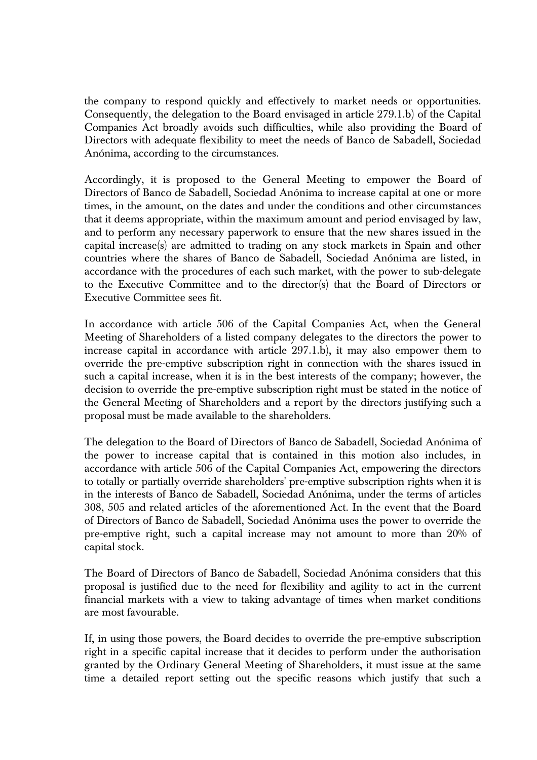the company to respond quickly and effectively to market needs or opportunities. Consequently, the delegation to the Board envisaged in article 279.1.b) of the Capital Companies Act broadly avoids such difficulties, while also providing the Board of Directors with adequate flexibility to meet the needs of Banco de Sabadell, Sociedad Anónima, according to the circumstances.

Accordingly, it is proposed to the General Meeting to empower the Board of Directors of Banco de Sabadell, Sociedad Anónima to increase capital at one or more times, in the amount, on the dates and under the conditions and other circumstances that it deems appropriate, within the maximum amount and period envisaged by law, and to perform any necessary paperwork to ensure that the new shares issued in the capital increase(s) are admitted to trading on any stock markets in Spain and other countries where the shares of Banco de Sabadell, Sociedad Anónima are listed, in accordance with the procedures of each such market, with the power to sub-delegate to the Executive Committee and to the director(s) that the Board of Directors or Executive Committee sees fit.

In accordance with article 506 of the Capital Companies Act, when the General Meeting of Shareholders of a listed company delegates to the directors the power to increase capital in accordance with article 297.1.b), it may also empower them to override the pre-emptive subscription right in connection with the shares issued in such a capital increase, when it is in the best interests of the company; however, the decision to override the pre-emptive subscription right must be stated in the notice of the General Meeting of Shareholders and a report by the directors justifying such a proposal must be made available to the shareholders.

The delegation to the Board of Directors of Banco de Sabadell, Sociedad Anónima of the power to increase capital that is contained in this motion also includes, in accordance with article 506 of the Capital Companies Act, empowering the directors to totally or partially override shareholders' pre-emptive subscription rights when it is in the interests of Banco de Sabadell, Sociedad Anónima, under the terms of articles 308, 505 and related articles of the aforementioned Act. In the event that the Board of Directors of Banco de Sabadell, Sociedad Anónima uses the power to override the pre-emptive right, such a capital increase may not amount to more than 20% of capital stock.

The Board of Directors of Banco de Sabadell, Sociedad Anónima considers that this proposal is justified due to the need for flexibility and agility to act in the current financial markets with a view to taking advantage of times when market conditions are most favourable.

If, in using those powers, the Board decides to override the pre-emptive subscription right in a specific capital increase that it decides to perform under the authorisation granted by the Ordinary General Meeting of Shareholders, it must issue at the same time a detailed report setting out the specific reasons which justify that such a